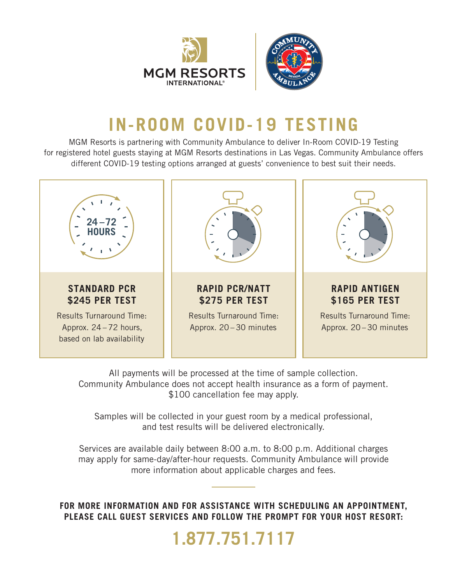

# **IN-ROOM COVID-19 TESTING**

MGM Resorts is partnering with Community Ambulance to deliver In-Room COVID-19 Testing for registered hotel guests staying at MGM Resorts destinations in Las Vegas. Community Ambulance offers different COVID-19 testing options arranged at guests' convenience to best suit their needs.



All payments will be processed at the time of sample collection. Community Ambulance does not accept health insurance as a form of payment. \$100 cancellation fee may apply.

Samples will be collected in your guest room by a medical professional, and test results will be delivered electronically.

Services are available daily between 8:00 a.m. to 8:00 p.m. Additional charges may apply for same-day/after-hour requests. Community Ambulance will provide more information about applicable charges and fees.

**FOR MORE INFORMATION AND FOR ASSISTANCE WITH SCHEDULING AN APPOINTMENT, PLEASE CALL GUEST SERVICES AND FOLLOW THE PROMPT FOR YOUR HOST RESORT:**

**1.877.751.7117**